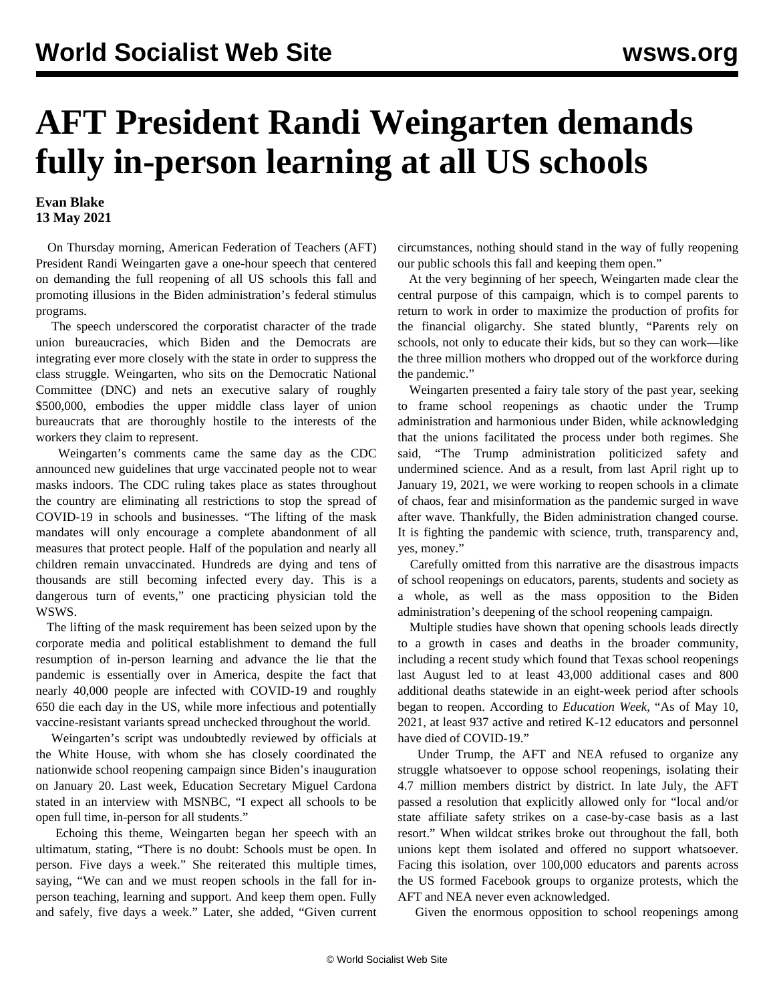## **AFT President Randi Weingarten demands fully in-person learning at all US schools**

## **Evan Blake 13 May 2021**

 On Thursday morning, American Federation of Teachers (AFT) President Randi Weingarten gave a one-hour speech that centered on demanding the full reopening of all US schools this fall and promoting illusions in the Biden administration's federal stimulus programs.

 The speech underscored the corporatist character of the trade union bureaucracies, which Biden and the Democrats are integrating ever more closely with the state in order to suppress the class struggle. Weingarten, who sits on the Democratic National Committee (DNC) and nets an executive salary of roughly \$500,000, embodies the upper middle class layer of union bureaucrats that are thoroughly hostile to the interests of the workers they claim to represent.

 Weingarten's comments came the same day as the CDC announced new guidelines that urge vaccinated people not to wear masks indoors. The CDC ruling takes place as states throughout the country are eliminating all restrictions to stop the spread of COVID-19 in schools and businesses. "The lifting of the mask mandates will only encourage a complete abandonment of all measures that protect people. Half of the population and nearly all children remain unvaccinated. Hundreds are dying and tens of thousands are still becoming infected every day. This is a dangerous turn of events," one practicing physician told the WSWS.

 The lifting of the mask requirement has been seized upon by the corporate media and political establishment to demand the full resumption of in-person learning and advance the lie that the pandemic is essentially over in America, despite the fact that nearly 40,000 people are infected with COVID-19 and roughly 650 die each day in the US, while more infectious and potentially vaccine-resistant variants spread unchecked throughout the world.

 Weingarten's script was undoubtedly reviewed by officials at the White House, with whom she has closely coordinated the nationwide school reopening campaign since Biden's inauguration on January 20. Last week, Education Secretary Miguel Cardona stated in an interview with MSNBC, "I expect all schools to be open full time, in-person for all students."

 Echoing this theme, Weingarten began her speech with an ultimatum, stating, "There is no doubt: Schools must be open. In person. Five days a week." She reiterated this multiple times, saying, "We can and we must reopen schools in the fall for inperson teaching, learning and support. And keep them open. Fully and safely, five days a week." Later, she added, "Given current circumstances, nothing should stand in the way of fully reopening our public schools this fall and keeping them open."

 At the very beginning of her speech, Weingarten made clear the central purpose of this campaign, which is to compel parents to return to work in order to maximize the production of profits for the financial oligarchy. She stated bluntly, "Parents rely on schools, not only to educate their kids, but so they can work—like the three million mothers who dropped out of the workforce during the pandemic."

 Weingarten presented a fairy tale story of the past year, seeking to frame school reopenings as chaotic under the Trump administration and harmonious under Biden, while acknowledging that the unions facilitated the process under both regimes. She said, "The Trump administration politicized safety and undermined science. And as a result, from last April right up to January 19, 2021, we were working to reopen schools in a climate of chaos, fear and misinformation as the pandemic surged in wave after wave. Thankfully, the Biden administration changed course. It is fighting the pandemic with science, truth, transparency and, yes, money."

 Carefully omitted from this narrative are the disastrous impacts of school reopenings on educators, parents, students and society as a whole, as well as the mass opposition to the Biden administration's deepening of the school reopening campaign.

 Multiple studies [have shown](/en/articles/2021/02/01/cdc1-f01.html) that opening schools leads directly to a growth in cases and deaths in the broader community, including a recent study which found that Texas school reopenings last August led to at least 43,000 additional cases and 800 additional deaths statewide in an eight-week period after schools began to reopen. According to *Education Week*, "As of May 10, 2021, at least 937 active and retired K-12 educators and personnel have died of COVID-19."

 Under Trump, the AFT and NEA refused to organize any struggle whatsoever to oppose school reopenings, isolating their 4.7 million members district by district. In late July, the AFT [passed a resolution](/en/articles/2020/07/30/aftt-j30.html) that explicitly allowed only for "local and/or state affiliate safety strikes on a case-by-case basis as a last resort." When wildcat strikes [broke out](/en/articles/2020/10/23/texs-o23.html) throughout the fall, both unions kept them isolated and offered no support whatsoever. Facing this isolation, over 100,000 educators and parents across the US formed Facebook groups to organize protests, which the AFT and NEA never even acknowledged.

Given the enormous opposition to school reopenings among